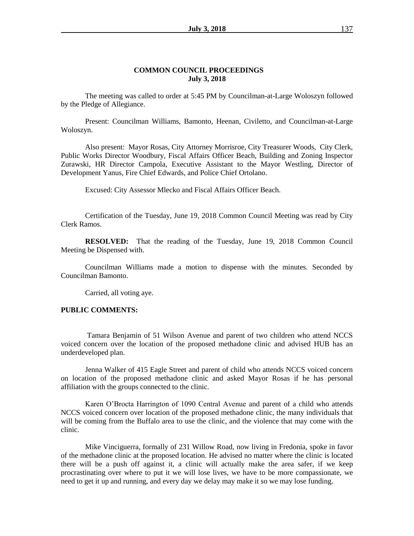#### **COMMON COUNCIL PROCEEDINGS July 3, 2018**

The meeting was called to order at 5:45 PM by Councilman-at-Large Woloszyn followed by the Pledge of Allegiance.

Present: Councilman Williams, Bamonto, Heenan, Civiletto, and Councilman-at-Large Woloszyn.

Also present: Mayor Rosas, City Attorney Morrisroe, City Treasurer Woods, City Clerk, Public Works Director Woodbury, Fiscal Affairs Officer Beach, Building and Zoning Inspector Zurawski, HR Director Campola, Executive Assistant to the Mayor Westling, Director of Development Yanus, Fire Chief Edwards, and Police Chief Ortolano.

Excused: City Assessor Mlecko and Fiscal Affairs Officer Beach.

Certification of the Tuesday, June 19, 2018 Common Council Meeting was read by City Clerk Ramos.

**RESOLVED:** That the reading of the Tuesday, June 19, 2018 Common Council Meeting be Dispensed with.

Councilman Williams made a motion to dispense with the minutes. Seconded by Councilman Bamonto.

Carried, all voting aye.

#### **PUBLIC COMMENTS:**

Tamara Benjamin of 51 Wilson Avenue and parent of two children who attend NCCS voiced concern over the location of the proposed methadone clinic and advised HUB has an underdeveloped plan.

Jenna Walker of 415 Eagle Street and parent of child who attends NCCS voiced concern on location of the proposed methadone clinic and asked Mayor Rosas if he has personal affiliation with the groups connected to the clinic.

Karen O'Brocta Harrington of 1090 Central Avenue and parent of a child who attends NCCS voiced concern over location of the proposed methadone clinic, the many individuals that will be coming from the Buffalo area to use the clinic, and the violence that may come with the clinic.

Mike Vinciguerra, formally of 231 Willow Road, now living in Fredonia, spoke in favor of the methadone clinic at the proposed location. He advised no matter where the clinic is located there will be a push off against it, a clinic will actually make the area safer, if we keep procrastinating over where to put it we will lose lives, we have to be more compassionate, we need to get it up and running, and every day we delay may make it so we may lose funding.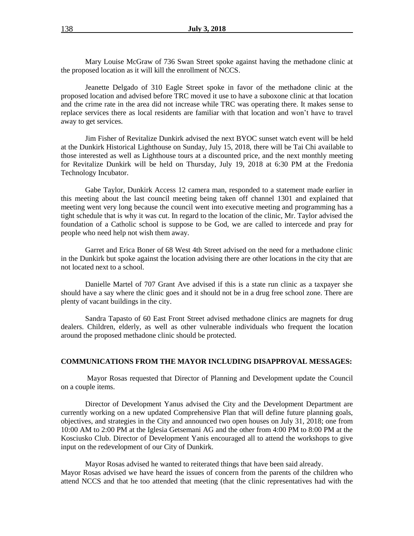Mary Louise McGraw of 736 Swan Street spoke against having the methadone clinic at the proposed location as it will kill the enrollment of NCCS.

Jeanette Delgado of 310 Eagle Street spoke in favor of the methadone clinic at the proposed location and advised before TRC moved it use to have a suboxone clinic at that location and the crime rate in the area did not increase while TRC was operating there. It makes sense to replace services there as local residents are familiar with that location and won't have to travel away to get services.

Jim Fisher of Revitalize Dunkirk advised the next BYOC sunset watch event will be held at the Dunkirk Historical Lighthouse on Sunday, July 15, 2018, there will be Tai Chi available to those interested as well as Lighthouse tours at a discounted price, and the next monthly meeting for Revitalize Dunkirk will be held on Thursday, July 19, 2018 at 6:30 PM at the Fredonia Technology Incubator.

Gabe Taylor, Dunkirk Access 12 camera man, responded to a statement made earlier in this meeting about the last council meeting being taken off channel 1301 and explained that meeting went very long because the council went into executive meeting and programming has a tight schedule that is why it was cut. In regard to the location of the clinic, Mr. Taylor advised the foundation of a Catholic school is suppose to be God, we are called to intercede and pray for people who need help not wish them away.

Garret and Erica Boner of 68 West 4th Street advised on the need for a methadone clinic in the Dunkirk but spoke against the location advising there are other locations in the city that are not located next to a school.

Danielle Martel of 707 Grant Ave advised if this is a state run clinic as a taxpayer she should have a say where the clinic goes and it should not be in a drug free school zone. There are plenty of vacant buildings in the city.

Sandra Tapasto of 60 East Front Street advised methadone clinics are magnets for drug dealers. Children, elderly, as well as other vulnerable individuals who frequent the location around the proposed methadone clinic should be protected.

#### **COMMUNICATIONS FROM THE MAYOR INCLUDING DISAPPROVAL MESSAGES:**

Mayor Rosas requested that Director of Planning and Development update the Council on a couple items.

Director of Development Yanus advised the City and the Development Department are currently working on a new updated Comprehensive Plan that will define future planning goals, objectives, and strategies in the City and announced two open houses on July 31, 2018; one from 10:00 AM to 2:00 PM at the Iglesia Getsemani AG and the other from 4:00 PM to 8:00 PM at the Kosciusko Club. Director of Development Yanis encouraged all to attend the workshops to give input on the redevelopment of our City of Dunkirk.

Mayor Rosas advised he wanted to reiterated things that have been said already. Mayor Rosas advised we have heard the issues of concern from the parents of the children who attend NCCS and that he too attended that meeting (that the clinic representatives had with the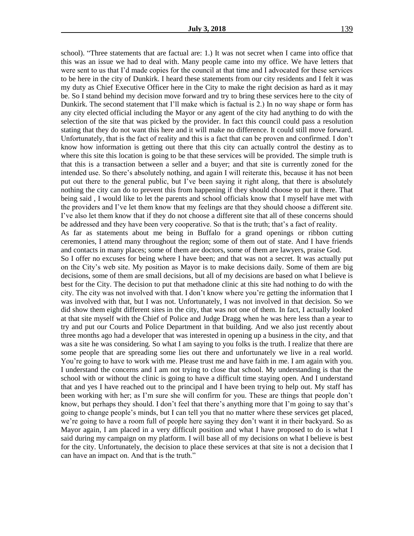school). "Three statements that are factual are: 1.) It was not secret when I came into office that this was an issue we had to deal with. Many people came into my office. We have letters that were sent to us that I'd made copies for the council at that time and I advocated for these services to be here in the city of Dunkirk. I heard these statements from our city residents and I felt it was my duty as Chief Executive Officer here in the City to make the right decision as hard as it may be. So I stand behind my decision move forward and try to bring these services here to the city of Dunkirk. The second statement that I'll make which is factual is 2.) In no way shape or form has any city elected official including the Mayor or any agent of the city had anything to do with the selection of the site that was picked by the provider. In fact this council could pass a resolution stating that they do not want this here and it will make no difference. It could still move forward. Unfortunately, that is the fact of reality and this is a fact that can be proven and confirmed. I don't know how information is getting out there that this city can actually control the destiny as to where this site this location is going to be that these services will be provided. The simple truth is that this is a transaction between a seller and a buyer; and that site is currently zoned for the intended use. So there's absolutely nothing, and again I will reiterate this, because it has not been put out there to the general public, but I've been saying it right along, that there is absolutely nothing the city can do to prevent this from happening if they should choose to put it there. That being said , I would like to let the parents and school officials know that I myself have met with the providers and I've let them know that my feelings are that they should choose a different site. I've also let them know that if they do not choose a different site that all of these concerns should be addressed and they have been very cooperative. So that is the truth; that's a fact of reality. As far as statements about me being in Buffalo for a grand openings or ribbon cutting ceremonies, I attend many throughout the region; some of them out of state. And I have friends and contacts in many places; some of them are doctors, some of them are lawyers, praise God. So I offer no excuses for being where I have been; and that was not a secret. It was actually put on the City's web site. My position as Mayor is to make decisions daily. Some of them are big decisions, some of them are small decisions, but all of my decisions are based on what I believe is best for the City. The decision to put that methadone clinic at this site had nothing to do with the city. The city was not involved with that. I don't know where you're getting the information that I was involved with that, but I was not. Unfortunately, I was not involved in that decision. So we did show them eight different sites in the city, that was not one of them. In fact, I actually looked at that site myself with the Chief of Police and Judge Dragg when he was here less than a year to try and put our Courts and Police Department in that building. And we also just recently about three months ago had a developer that was interested in opening up a business in the city, and that was a site he was considering. So what I am saying to you folks is the truth. I realize that there are some people that are spreading some lies out there and unfortunately we live in a real world. You're going to have to work with me. Please trust me and have faith in me. I am again with you. I understand the concerns and I am not trying to close that school. My understanding is that the school with or without the clinic is going to have a difficult time staying open. And I understand that and yes I have reached out to the principal and I have been trying to help out. My staff has been working with her; as I'm sure she will confirm for you. These are things that people don't know, but perhaps they should. I don't feel that there's anything more that I'm going to say that's going to change people's minds, but I can tell you that no matter where these services get placed, we're going to have a room full of people here saying they don't want it in their backyard. So as Mayor again, I am placed in a very difficult position and what I have proposed to do is what I said during my campaign on my platform. I will base all of my decisions on what I believe is best for the city. Unfortunately, the decision to place these services at that site is not a decision that I can have an impact on. And that is the truth."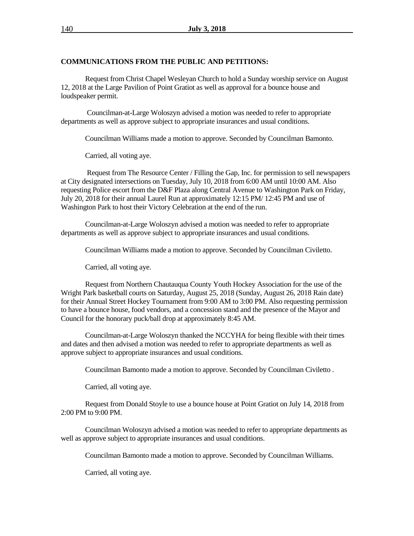### **COMMUNICATIONS FROM THE PUBLIC AND PETITIONS:**

Request from Christ Chapel Wesleyan Church to hold a Sunday worship service on August 12, 2018 at the Large Pavilion of Point Gratiot as well as approval for a bounce house and loudspeaker permit.

Councilman-at-Large Woloszyn advised a motion was needed to refer to appropriate departments as well as approve subject to appropriate insurances and usual conditions.

Councilman Williams made a motion to approve. Seconded by Councilman Bamonto.

Carried, all voting aye.

Request from The Resource Center / Filling the Gap, Inc. for permission to sell newspapers at City designated intersections on Tuesday, July 10, 2018 from 6:00 AM until 10:00 AM. Also requesting Police escort from the D&F Plaza along Central Avenue to Washington Park on Friday, July 20, 2018 for their annual Laurel Run at approximately 12:15 PM/ 12:45 PM and use of Washington Park to host their Victory Celebration at the end of the run.

Councilman-at-Large Woloszyn advised a motion was needed to refer to appropriate departments as well as approve subject to appropriate insurances and usual conditions.

Councilman Williams made a motion to approve. Seconded by Councilman Civiletto.

Carried, all voting aye.

Request from Northern Chautauqua County Youth Hockey Association for the use of the Wright Park basketball courts on Saturday, August 25, 2018 (Sunday, August 26, 2018 Rain date) for their Annual Street Hockey Tournament from 9:00 AM to 3:00 PM. Also requesting permission to have a bounce house, food vendors, and a concession stand and the presence of the Mayor and Council for the honorary puck/ball drop at approximately 8:45 AM.

Councilman-at-Large Woloszyn thanked the NCCYHA for being flexible with their times and dates and then advised a motion was needed to refer to appropriate departments as well as approve subject to appropriate insurances and usual conditions.

Councilman Bamonto made a motion to approve. Seconded by Councilman Civiletto .

Carried, all voting aye.

Request from Donald Stoyle to use a bounce house at Point Gratiot on July 14, 2018 from 2:00 PM to 9:00 PM.

Councilman Woloszyn advised a motion was needed to refer to appropriate departments as well as approve subject to appropriate insurances and usual conditions.

Councilman Bamonto made a motion to approve. Seconded by Councilman Williams.

Carried, all voting aye.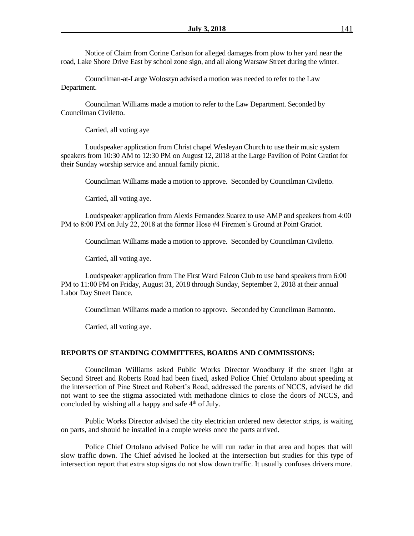Notice of Claim from Corine Carlson for alleged damages from plow to her yard near the road, Lake Shore Drive East by school zone sign, and all along Warsaw Street during the winter.

Councilman-at-Large Woloszyn advised a motion was needed to refer to the Law Department.

Councilman Williams made a motion to refer to the Law Department. Seconded by Councilman Civiletto.

Carried, all voting aye

Loudspeaker application from Christ chapel Wesleyan Church to use their music system speakers from 10:30 AM to 12:30 PM on August 12, 2018 at the Large Pavilion of Point Gratiot for their Sunday worship service and annual family picnic.

Councilman Williams made a motion to approve. Seconded by Councilman Civiletto.

Carried, all voting aye.

Loudspeaker application from Alexis Fernandez Suarez to use AMP and speakers from 4:00 PM to 8:00 PM on July 22, 2018 at the former Hose #4 Firemen's Ground at Point Gratiot.

Councilman Williams made a motion to approve. Seconded by Councilman Civiletto.

Carried, all voting aye.

Loudspeaker application from The First Ward Falcon Club to use band speakers from 6:00 PM to 11:00 PM on Friday, August 31, 2018 through Sunday, September 2, 2018 at their annual Labor Day Street Dance.

Councilman Williams made a motion to approve. Seconded by Councilman Bamonto.

Carried, all voting aye.

#### **REPORTS OF STANDING COMMITTEES, BOARDS AND COMMISSIONS:**

Councilman Williams asked Public Works Director Woodbury if the street light at Second Street and Roberts Road had been fixed, asked Police Chief Ortolano about speeding at the intersection of Pine Street and Robert's Road, addressed the parents of NCCS, advised he did not want to see the stigma associated with methadone clinics to close the doors of NCCS, and concluded by wishing all a happy and safe  $4<sup>th</sup>$  of July.

Public Works Director advised the city electrician ordered new detector strips, is waiting on parts, and should be installed in a couple weeks once the parts arrived.

Police Chief Ortolano advised Police he will run radar in that area and hopes that will slow traffic down. The Chief advised he looked at the intersection but studies for this type of intersection report that extra stop signs do not slow down traffic. It usually confuses drivers more.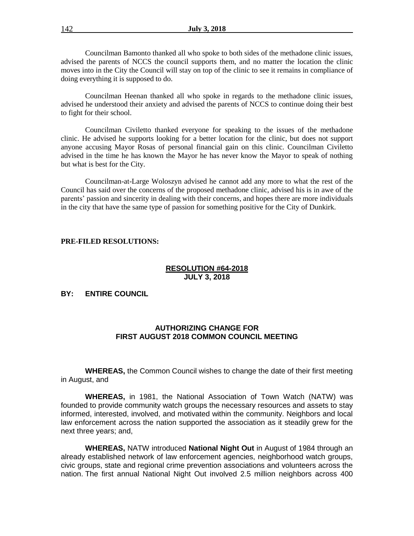Councilman Bamonto thanked all who spoke to both sides of the methadone clinic issues, advised the parents of NCCS the council supports them, and no matter the location the clinic moves into in the City the Council will stay on top of the clinic to see it remains in compliance of doing everything it is supposed to do.

Councilman Heenan thanked all who spoke in regards to the methadone clinic issues, advised he understood their anxiety and advised the parents of NCCS to continue doing their best to fight for their school.

Councilman Civiletto thanked everyone for speaking to the issues of the methadone clinic. He advised he supports looking for a better location for the clinic, but does not support anyone accusing Mayor Rosas of personal financial gain on this clinic. Councilman Civiletto advised in the time he has known the Mayor he has never know the Mayor to speak of nothing but what is best for the City.

Councilman-at-Large Woloszyn advised he cannot add any more to what the rest of the Council has said over the concerns of the proposed methadone clinic, advised his is in awe of the parents' passion and sincerity in dealing with their concerns, and hopes there are more individuals in the city that have the same type of passion for something positive for the City of Dunkirk.

#### **PRE-FILED RESOLUTIONS:**

## **RESOLUTION #64-2018 JULY 3, 2018**

## **BY: ENTIRE COUNCIL**

## **AUTHORIZING CHANGE FOR FIRST AUGUST 2018 COMMON COUNCIL MEETING**

**WHEREAS,** the Common Council wishes to change the date of their first meeting in August, and

**WHEREAS,** in 1981, the National Association of Town Watch (NATW) was founded to provide community watch groups the necessary resources and assets to stay informed, interested, involved, and motivated within the community. Neighbors and local law enforcement across the nation supported the association as it steadily grew for the next three years; and,

**WHEREAS,** NATW introduced **National Night Out** in August of 1984 through an already established network of law enforcement agencies, neighborhood watch groups, civic groups, state and regional crime prevention associations and volunteers across the nation. The first annual National Night Out involved 2.5 million neighbors across 400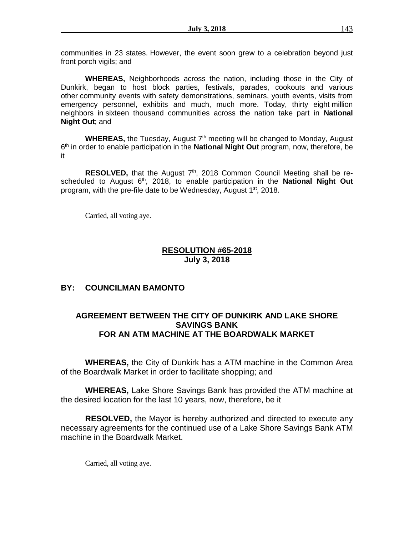communities in 23 states. However, the event soon grew to a celebration beyond just front porch vigils; and

**WHEREAS,** Neighborhoods across the nation, including those in the City of Dunkirk, began to host block parties, festivals, parades, cookouts and various other community events with safety demonstrations, seminars, youth events, visits from emergency personnel, exhibits and much, much more. Today, thirty eight million neighbors in sixteen thousand communities across the nation take part in **National Night Out**; and

WHEREAS, the Tuesday, August 7<sup>th</sup> meeting will be changed to Monday, August 6 th in order to enable participation in the **National Night Out** program, now, therefore, be it

RESOLVED, that the August 7<sup>th</sup>, 2018 Common Council Meeting shall be rescheduled to August 6<sup>th</sup>, 2018, to enable participation in the **National Night Out** program, with the pre-file date to be Wednesday, August 1<sup>st</sup>, 2018.

Carried, all voting aye.

# **RESOLUTION #65-2018 July 3, 2018**

# **BY: COUNCILMAN BAMONTO**

# **AGREEMENT BETWEEN THE CITY OF DUNKIRK AND LAKE SHORE SAVINGS BANK FOR AN ATM MACHINE AT THE BOARDWALK MARKET**

**WHEREAS,** the City of Dunkirk has a ATM machine in the Common Area of the Boardwalk Market in order to facilitate shopping; and

**WHEREAS,** Lake Shore Savings Bank has provided the ATM machine at the desired location for the last 10 years, now, therefore, be it

**RESOLVED,** the Mayor is hereby authorized and directed to execute any necessary agreements for the continued use of a Lake Shore Savings Bank ATM machine in the Boardwalk Market.

Carried, all voting aye.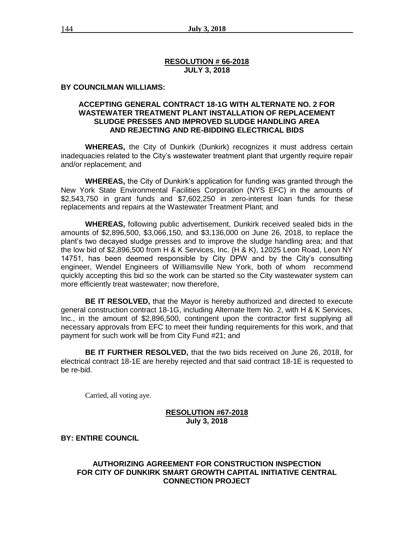### **RESOLUTION # 66-2018 JULY 3, 2018**

#### **BY COUNCILMAN WILLIAMS:**

## **ACCEPTING GENERAL CONTRACT 18-1G WITH ALTERNATE NO. 2 FOR WASTEWATER TREATMENT PLANT INSTALLATION OF REPLACEMENT SLUDGE PRESSES AND IMPROVED SLUDGE HANDLING AREA AND REJECTING AND RE-BIDDING ELECTRICAL BIDS**

**WHEREAS,** the City of Dunkirk (Dunkirk) recognizes it must address certain inadequacies related to the City's wastewater treatment plant that urgently require repair and/or replacement; and

**WHEREAS,** the City of Dunkirk's application for funding was granted through the New York State Environmental Facilities Corporation (NYS EFC) in the amounts of \$2,543,750 in grant funds and \$7,602,250 in zero-interest loan funds for these replacements and repairs at the Wastewater Treatment Plant; and

**WHEREAS,** following public advertisement, Dunkirk received sealed bids in the amounts of \$2,896,500, \$3,066,150, and \$3,136,000 on June 26, 2018, to replace the plant's two decayed sludge presses and to improve the sludge handling area; and that the low bid of \$2,896,500 from H & K Services, Inc. (H & K), 12025 Leon Road, Leon NY 14751, has been deemed responsible by City DPW and by the City's consulting engineer, Wendel Engineers of Williamsville New York, both of whom recommend quickly accepting this bid so the work can be started so the City wastewater system can more efficiently treat wastewater; now therefore,

**BE IT RESOLVED,** that the Mayor is hereby authorized and directed to execute general construction contract 18-1G, including Alternate Item No. 2, with H & K Services, Inc., in the amount of \$2,896,500, contingent upon the contractor first supplying all necessary approvals from EFC to meet their funding requirements for this work, and that payment for such work will be from City Fund #21; and

**BE IT FURTHER RESOLVED,** that the two bids received on June 26, 2018, for electrical contract 18-1E are hereby rejected and that said contract 18-1E is requested to be re-bid.

Carried, all voting aye.

## **RESOLUTION #67-2018 July 3, 2018**

### **BY: ENTIRE COUNCIL**

## **AUTHORIZING AGREEMENT FOR CONSTRUCTION INSPECTION FOR CITY OF DUNKIRK SMART GROWTH CAPITAL INITIATIVE CENTRAL CONNECTION PROJECT**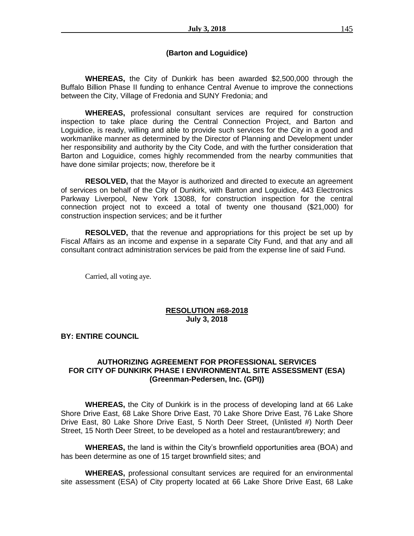## **(Barton and Loguidice)**

**WHEREAS,** the City of Dunkirk has been awarded \$2,500,000 through the Buffalo Billion Phase II funding to enhance Central Avenue to improve the connections between the City, Village of Fredonia and SUNY Fredonia; and

**WHEREAS,** professional consultant services are required for construction inspection to take place during the Central Connection Project, and Barton and Loguidice, is ready, willing and able to provide such services for the City in a good and workmanlike manner as determined by the Director of Planning and Development under her responsibility and authority by the City Code, and with the further consideration that Barton and Loguidice, comes highly recommended from the nearby communities that have done similar projects; now, therefore be it

**RESOLVED,** that the Mayor is authorized and directed to execute an agreement of services on behalf of the City of Dunkirk, with Barton and Loguidice, 443 Electronics Parkway Liverpool, New York 13088, for construction inspection for the central connection project not to exceed a total of twenty one thousand (\$21,000) for construction inspection services; and be it further

**RESOLVED,** that the revenue and appropriations for this project be set up by Fiscal Affairs as an income and expense in a separate City Fund, and that any and all consultant contract administration services be paid from the expense line of said Fund.

Carried, all voting aye.

### **RESOLUTION #68-2018 July 3, 2018**

### **BY: ENTIRE COUNCIL**

## **AUTHORIZING AGREEMENT FOR PROFESSIONAL SERVICES FOR CITY OF DUNKIRK PHASE I ENVIRONMENTAL SITE ASSESSMENT (ESA) (Greenman-Pedersen, Inc. (GPI))**

**WHEREAS,** the City of Dunkirk is in the process of developing land at 66 Lake Shore Drive East, 68 Lake Shore Drive East, 70 Lake Shore Drive East, 76 Lake Shore Drive East, 80 Lake Shore Drive East, 5 North Deer Street, (Unlisted #) North Deer Street, 15 North Deer Street, to be developed as a hotel and restaurant/brewery; and

**WHEREAS,** the land is within the City's brownfield opportunities area (BOA) and has been determine as one of 15 target brownfield sites; and

**WHEREAS,** professional consultant services are required for an environmental site assessment (ESA) of City property located at 66 Lake Shore Drive East, 68 Lake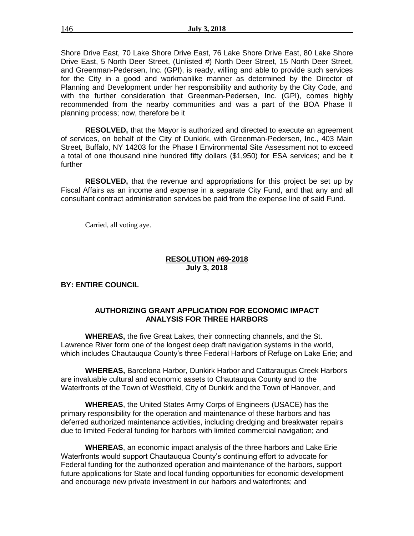Shore Drive East, 70 Lake Shore Drive East, 76 Lake Shore Drive East, 80 Lake Shore Drive East, 5 North Deer Street, (Unlisted #) North Deer Street, 15 North Deer Street, and Greenman-Pedersen, Inc. (GPI), is ready, willing and able to provide such services for the City in a good and workmanlike manner as determined by the Director of Planning and Development under her responsibility and authority by the City Code, and with the further consideration that Greenman-Pedersen, Inc. (GPI), comes highly recommended from the nearby communities and was a part of the BOA Phase II planning process; now, therefore be it

**RESOLVED,** that the Mayor is authorized and directed to execute an agreement of services, on behalf of the City of Dunkirk, with Greenman-Pedersen, Inc., 403 Main Street, Buffalo, NY 14203 for the Phase I Environmental Site Assessment not to exceed a total of one thousand nine hundred fifty dollars (\$1,950) for ESA services; and be it further

**RESOLVED,** that the revenue and appropriations for this project be set up by Fiscal Affairs as an income and expense in a separate City Fund, and that any and all consultant contract administration services be paid from the expense line of said Fund.

Carried, all voting aye.

## **RESOLUTION #69-2018 July 3, 2018**

## **BY: ENTIRE COUNCIL**

## **AUTHORIZING GRANT APPLICATION FOR ECONOMIC IMPACT ANALYSIS FOR THREE HARBORS**

**WHEREAS,** the five Great Lakes, their connecting channels, and the St. Lawrence River form one of the longest deep draft navigation systems in the world, which includes Chautauqua County's three Federal Harbors of Refuge on Lake Erie; and

**WHEREAS,** Barcelona Harbor, Dunkirk Harbor and Cattaraugus Creek Harbors are invaluable cultural and economic assets to Chautauqua County and to the Waterfronts of the Town of Westfield, City of Dunkirk and the Town of Hanover, and

**WHEREAS**, the United States Army Corps of Engineers (USACE) has the primary responsibility for the operation and maintenance of these harbors and has deferred authorized maintenance activities, including dredging and breakwater repairs due to limited Federal funding for harbors with limited commercial navigation; and

**WHEREAS**, an economic impact analysis of the three harbors and Lake Erie Waterfronts would support Chautauqua County's continuing effort to advocate for Federal funding for the authorized operation and maintenance of the harbors, support future applications for State and local funding opportunities for economic development and encourage new private investment in our harbors and waterfronts; and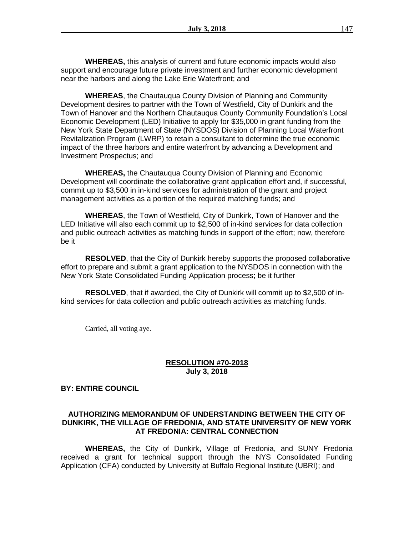**WHEREAS,** this analysis of current and future economic impacts would also support and encourage future private investment and further economic development near the harbors and along the Lake Erie Waterfront; and

**WHEREAS**, the Chautauqua County Division of Planning and Community Development desires to partner with the Town of Westfield, City of Dunkirk and the Town of Hanover and the Northern Chautauqua County Community Foundation's Local Economic Development (LED) Initiative to apply for \$35,000 in grant funding from the New York State Department of State (NYSDOS) Division of Planning Local Waterfront Revitalization Program (LWRP) to retain a consultant to determine the true economic impact of the three harbors and entire waterfront by advancing a Development and Investment Prospectus; and

**WHEREAS,** the Chautauqua County Division of Planning and Economic Development will coordinate the collaborative grant application effort and, if successful, commit up to \$3,500 in in-kind services for administration of the grant and project management activities as a portion of the required matching funds; and

**WHEREAS**, the Town of Westfield, City of Dunkirk, Town of Hanover and the LED Initiative will also each commit up to \$2,500 of in-kind services for data collection and public outreach activities as matching funds in support of the effort; now, therefore be it

**RESOLVED**, that the City of Dunkirk hereby supports the proposed collaborative effort to prepare and submit a grant application to the NYSDOS in connection with the New York State Consolidated Funding Application process; be it further

**RESOLVED**, that if awarded, the City of Dunkirk will commit up to \$2,500 of inkind services for data collection and public outreach activities as matching funds.

Carried, all voting aye.

### **RESOLUTION #70-2018 July 3, 2018**

#### **BY: ENTIRE COUNCIL**

### **AUTHORIZING MEMORANDUM OF UNDERSTANDING BETWEEN THE CITY OF DUNKIRK, THE VILLAGE OF FREDONIA, AND STATE UNIVERSITY OF NEW YORK AT FREDONIA: CENTRAL CONNECTION**

**WHEREAS,** the City of Dunkirk, Village of Fredonia, and SUNY Fredonia received a grant for technical support through the NYS Consolidated Funding Application (CFA) conducted by University at Buffalo Regional Institute (UBRI); and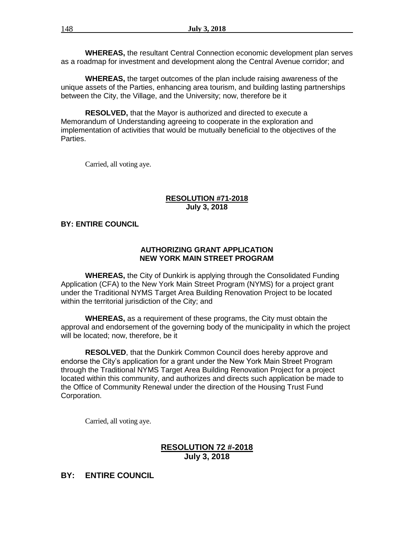**WHEREAS,** the resultant Central Connection economic development plan serves as a roadmap for investment and development along the Central Avenue corridor; and

**WHEREAS,** the target outcomes of the plan include raising awareness of the unique assets of the Parties, enhancing area tourism, and building lasting partnerships between the City, the Village, and the University; now, therefore be it

**RESOLVED,** that the Mayor is authorized and directed to execute a Memorandum of Understanding agreeing to cooperate in the exploration and implementation of activities that would be mutually beneficial to the objectives of the Parties.

Carried, all voting aye.

## **RESOLUTION #71-2018 July 3, 2018**

## **BY: ENTIRE COUNCIL**

## **AUTHORIZING GRANT APPLICATION NEW YORK MAIN STREET PROGRAM**

**WHEREAS,** the City of Dunkirk is applying through the Consolidated Funding Application (CFA) to the New York Main Street Program (NYMS) for a project grant under the Traditional NYMS Target Area Building Renovation Project to be located within the territorial jurisdiction of the City; and

**WHEREAS,** as a requirement of these programs, the City must obtain the approval and endorsement of the governing body of the municipality in which the project will be located; now, therefore, be it

**RESOLVED**, that the Dunkirk Common Council does hereby approve and endorse the City's application for a grant under the New York Main Street Program through the Traditional NYMS Target Area Building Renovation Project for a project located within this community, and authorizes and directs such application be made to the Office of Community Renewal under the direction of the Housing Trust Fund Corporation.

Carried, all voting aye.

## **RESOLUTION 72 #-2018 July 3, 2018**

## **BY: ENTIRE COUNCIL**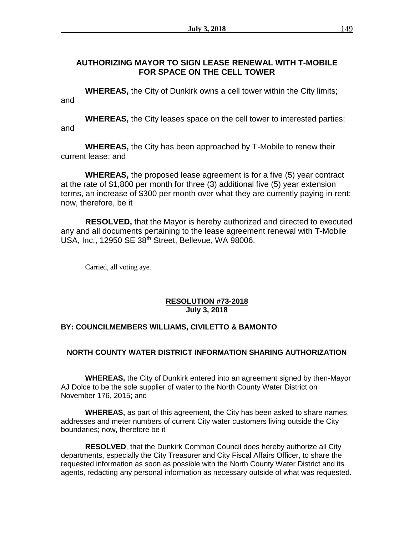# **AUTHORIZING MAYOR TO SIGN LEASE RENEWAL WITH T-MOBILE FOR SPACE ON THE CELL TOWER**

**WHEREAS,** the City of Dunkirk owns a cell tower within the City limits; and

**WHEREAS,** the City leases space on the cell tower to interested parties; and

**WHEREAS,** the City has been approached by T-Mobile to renew their current lease; and

**WHEREAS,** the proposed lease agreement is for a five (5) year contract at the rate of \$1,800 per month for three (3) additional five (5) year extension terms, an increase of \$300 per month over what they are currently paying in rent; now, therefore, be it

**RESOLVED,** that the Mayor is hereby authorized and directed to executed any and all documents pertaining to the lease agreement renewal with T-Mobile USA, Inc., 12950 SE 38<sup>th</sup> Street, Bellevue, WA 98006.

Carried, all voting aye.

## **RESOLUTION #73-2018 July 3, 2018**

## **BY: COUNCILMEMBERS WILLIAMS, CIVILETTO & BAMONTO**

# **NORTH COUNTY WATER DISTRICT INFORMATION SHARING AUTHORIZATION**

**WHEREAS,** the City of Dunkirk entered into an agreement signed by then-Mayor AJ Dolce to be the sole supplier of water to the North County Water District on November 176, 2015; and

**WHEREAS,** as part of this agreement, the City has been asked to share names, addresses and meter numbers of current City water customers living outside the City boundaries; now, therefore be it

**RESOLVED**, that the Dunkirk Common Council does hereby authorize all City departments, especially the City Treasurer and City Fiscal Affairs Officer, to share the requested information as soon as possible with the North County Water District and its agents, redacting any personal information as necessary outside of what was requested.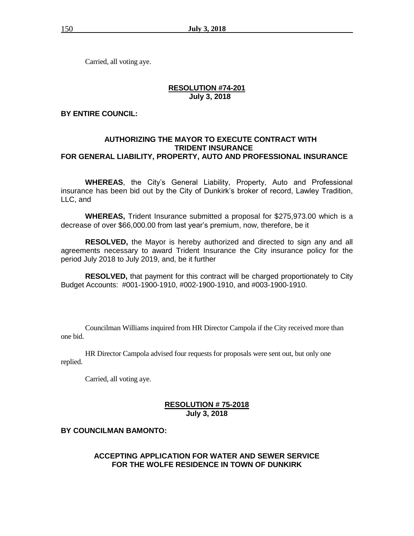Carried, all voting aye.

## **RESOLUTION #74-201 July 3, 2018**

### **BY ENTIRE COUNCIL:**

## **AUTHORIZING THE MAYOR TO EXECUTE CONTRACT WITH TRIDENT INSURANCE FOR GENERAL LIABILITY, PROPERTY, AUTO AND PROFESSIONAL INSURANCE**

**WHEREAS**, the City's General Liability, Property, Auto and Professional insurance has been bid out by the City of Dunkirk's broker of record, Lawley Tradition, LLC, and

**WHEREAS,** Trident Insurance submitted a proposal for \$275,973.00 which is a decrease of over \$66,000.00 from last year's premium, now, therefore, be it

**RESOLVED,** the Mayor is hereby authorized and directed to sign any and all agreements necessary to award Trident Insurance the City insurance policy for the period July 2018 to July 2019, and, be it further

**RESOLVED,** that payment for this contract will be charged proportionately to City Budget Accounts: #001-1900-1910, #002-1900-1910, and #003-1900-1910.

Councilman Williams inquired from HR Director Campola if the City received more than one bid.

HR Director Campola advised four requests for proposals were sent out, but only one replied.

Carried, all voting aye.

### **RESOLUTION # 75-2018 July 3, 2018**

#### **BY COUNCILMAN BAMONTO:**

### **ACCEPTING APPLICATION FOR WATER AND SEWER SERVICE FOR THE WOLFE RESIDENCE IN TOWN OF DUNKIRK**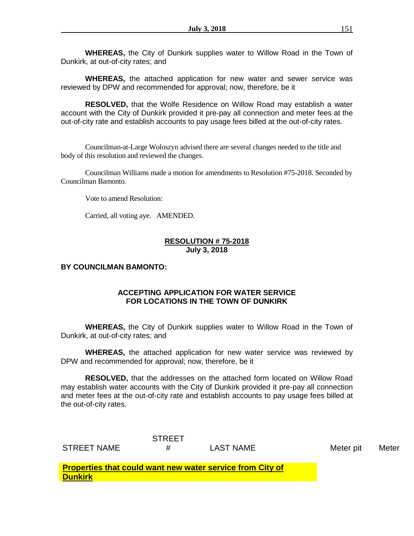**WHEREAS,** the City of Dunkirk supplies water to Willow Road in the Town of Dunkirk, at out-of-city rates; and

**WHEREAS,** the attached application for new water and sewer service was reviewed by DPW and recommended for approval; now, therefore, be it

**RESOLVED,** that the Wolfe Residence on Willow Road may establish a water account with the City of Dunkirk provided it pre-pay all connection and meter fees at the out-of-city rate and establish accounts to pay usage fees billed at the out-of-city rates.

Councilman-at-Large Woloszyn advised there are several changes needed to the title and body of this resolution and reviewed the changes.

Councilman Williams made a motion for amendments to Resolution #75-2018. Seconded by Councilman Bamonto.

Vote to amend Resolution:

Carried, all voting aye. AMENDED.

### **RESOLUTION # 75-2018 July 3, 2018**

### **BY COUNCILMAN BAMONTO:**

## **ACCEPTING APPLICATION FOR WATER SERVICE FOR LOCATIONS IN THE TOWN OF DUNKIRK**

**WHEREAS,** the City of Dunkirk supplies water to Willow Road in the Town of Dunkirk, at out-of-city rates; and

**WHEREAS,** the attached application for new water service was reviewed by DPW and recommended for approval; now, therefore, be it

**RESOLVED,** that the addresses on the attached form located on Willow Road may establish water accounts with the City of Dunkirk provided it pre-pay all connection and meter fees at the out-of-city rate and establish accounts to pay usage fees billed at the out-of-city rates.

|             | <b>STREET</b> |                  |  |
|-------------|---------------|------------------|--|
| STREET NAME |               | <b>LAST NAME</b> |  |

Meter pit Meter

**Properties that could want new water service from City of Dunkirk**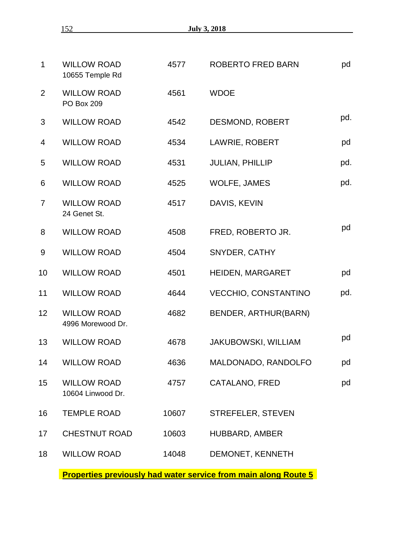| <b>SALE</b> |  |
|-------------|--|
|             |  |

| $\mathbf 1$     | <b>WILLOW ROAD</b><br>10655 Temple Rd   | 4577  | <b>ROBERTO FRED BARN</b>    | pd  |
|-----------------|-----------------------------------------|-------|-----------------------------|-----|
| $\overline{2}$  | <b>WILLOW ROAD</b><br><b>PO Box 209</b> | 4561  | <b>WDOE</b>                 |     |
| 3               | <b>WILLOW ROAD</b>                      | 4542  | <b>DESMOND, ROBERT</b>      | pd. |
| 4               | <b>WILLOW ROAD</b>                      | 4534  | <b>LAWRIE, ROBERT</b>       | pd  |
| 5               | <b>WILLOW ROAD</b>                      | 4531  | <b>JULIAN, PHILLIP</b>      | pd. |
| 6               | <b>WILLOW ROAD</b>                      | 4525  | <b>WOLFE, JAMES</b>         | pd. |
| $\overline{7}$  | <b>WILLOW ROAD</b><br>24 Genet St.      | 4517  | DAVIS, KEVIN                |     |
| 8               | <b>WILLOW ROAD</b>                      | 4508  | FRED, ROBERTO JR.           | pd  |
| 9               | <b>WILLOW ROAD</b>                      | 4504  | SNYDER, CATHY               |     |
| 10              | <b>WILLOW ROAD</b>                      | 4501  | HEIDEN, MARGARET            | pd  |
| 11              | <b>WILLOW ROAD</b>                      | 4644  | <b>VECCHIO, CONSTANTINO</b> | pd. |
| 12 <sub>2</sub> | <b>WILLOW ROAD</b><br>4996 Morewood Dr. | 4682  | BENDER, ARTHUR(BARN)        |     |
| 13              | <b>WILLOW ROAD</b>                      | 4678  | <b>JAKUBOWSKI, WILLIAM</b>  | pd  |
| 14              | <b>WILLOW ROAD</b>                      | 4636  | MALDONADO, RANDOLFO         | pd  |
| 15              | <b>WILLOW ROAD</b><br>10604 Linwood Dr. | 4757  | <b>CATALANO, FRED</b>       | pd  |
| 16              | <b>TEMPLE ROAD</b>                      | 10607 | STREFELER, STEVEN           |     |
| 17              | <b>CHESTNUT ROAD</b>                    | 10603 | HUBBARD, AMBER              |     |
| 18              | <b>WILLOW ROAD</b>                      | 14048 | DEMONET, KENNETH            |     |
|                 |                                         |       |                             |     |

**Properties previously had water service from main along Route 5**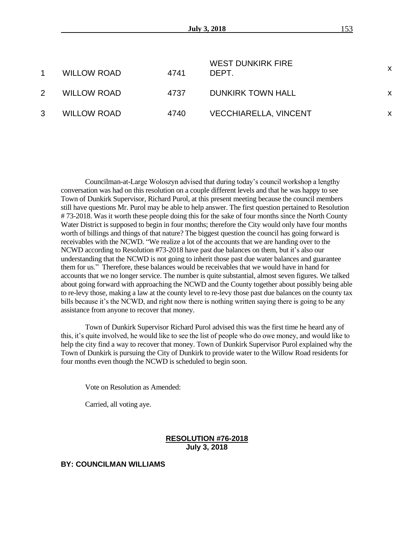|   | <b>WILLOW ROAD</b> | 4741 | <b>WEST DUNKIRK FIRE</b><br>DEPT. | X |
|---|--------------------|------|-----------------------------------|---|
| 2 | <b>WILLOW ROAD</b> | 4737 | <b>DUNKIRK TOWN HALL</b>          | X |
| 3 | <b>WILLOW ROAD</b> | 4740 | <b>VECCHIARELLA, VINCENT</b>      | х |

Councilman-at-Large Woloszyn advised that during today's council workshop a lengthy conversation was had on this resolution on a couple different levels and that he was happy to see Town of Dunkirk Supervisor, Richard Purol, at this present meeting because the council members still have questions Mr. Purol may be able to help answer. The first question pertained to Resolution #73-2018. Was it worth these people doing this for the sake of four months since the North County Water District is supposed to begin in four months; therefore the City would only have four months worth of billings and things of that nature? The biggest question the council has going forward is receivables with the NCWD. "We realize a lot of the accounts that we are handing over to the NCWD according to Resolution #73-2018 have past due balances on them, but it's also our understanding that the NCWD is not going to inherit those past due water balances and guarantee them for us." Therefore, these balances would be receivables that we would have in hand for accounts that we no longer service. The number is quite substantial, almost seven figures. We talked about going forward with approaching the NCWD and the County together about possibly being able to re-levy those, making a law at the county level to re-levy those past due balances on the county tax bills because it's the NCWD, and right now there is nothing written saying there is going to be any assistance from anyone to recover that money.

Town of Dunkirk Supervisor Richard Purol advised this was the first time he heard any of this, it's quite involved, he would like to see the list of people who do owe money, and would like to help the city find a way to recover that money. Town of Dunkirk Supervisor Purol explained why the Town of Dunkirk is pursuing the City of Dunkirk to provide water to the Willow Road residents for four months even though the NCWD is scheduled to begin soon.

Vote on Resolution as Amended:

Carried, all voting aye.

## **RESOLUTION #76-2018 July 3, 2018**

**BY: COUNCILMAN WILLIAMS**